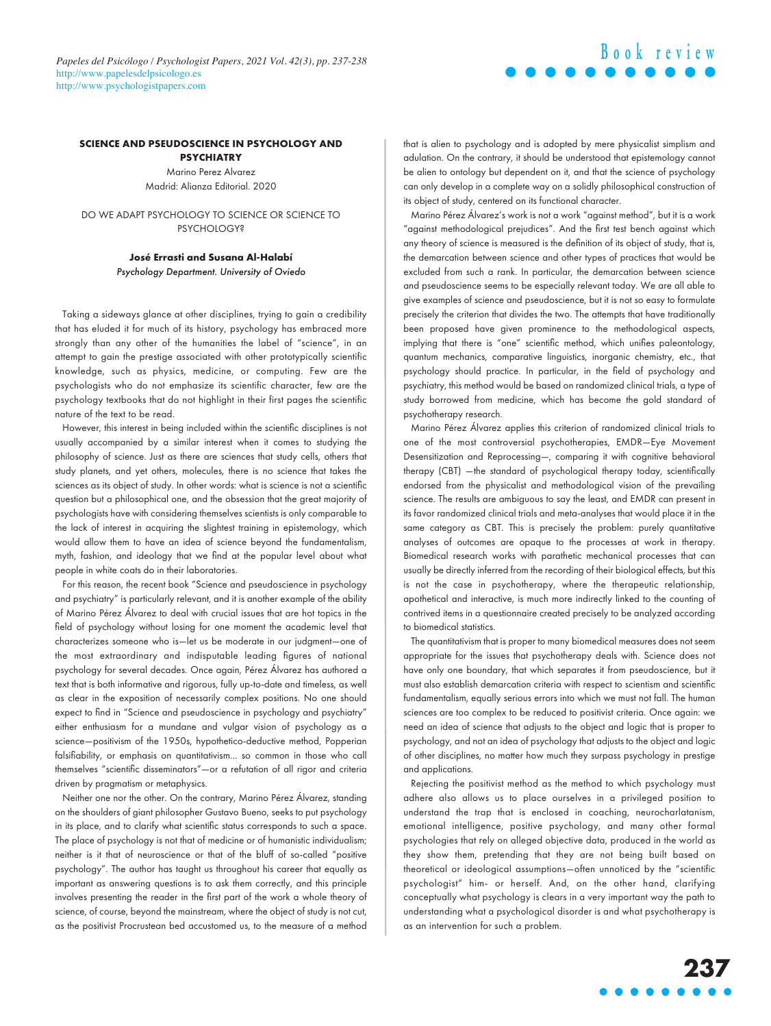## **SCIENCE AND PSEUDOSCIENCE IN PSYCHOLOGY AND PSYCHIATRY**

Marino Perez Alvarez Madrid: Alianza Editorial. 2020

DO WE ADAPT PSYCHOLOGY TO SCIENCE OR SCIENCE TO **PSYCHOLOGY?** 

> **José Errasti and Susana Al-Halabí** Psychology Department. University of Oviedo

Taking a sideways glance at other disciplines, trying to gain a credibility that has eluded it for much of its history, psychology has embraced more strongly than any other of the humanities the label of "science", in an attempt to gain the prestige associated with other prototypically scientific knowledge, such as physics, medicine, or computing. Few are the psychologists who do not emphasize its scientific character, few are the psychology textbooks that do not highlight in their first pages the scientific nature of the text to be read.

However, this interest in being included within the scientific disciplines is not usually accompanied by a similar interest when it comes to studying the philosophy of science. Just as there are sciences that study cells, others that study planets, and yet others, molecules, there is no science that takes the sciences as its object of study. In other words: what is science is not a scientific question but a philosophical one, and the obsession that the great majority of psychologists have with considering themselves scientists is only comparable to the lack of interest in acquiring the slightest training in epistemology, which would allow them to have an idea of science beyond the fundamentalism, myth, fashion, and ideology that we find at the popular level about what people in white coats do in their laboratories.

For this reason, the recent book "Science and pseudoscience in psychology and psychiatry" is particularly relevant, and it is another example of the ability of Marino Pérez Álvarez to deal with crucial issues that are hot topics in the field of psychology without losing for one moment the academic level that characterizes someone who is—let us be moderate in our judgment—one of the most extraordinary and indisputable leading figures of national psychology for several decades. Once again, Pérez Álvarez has authored a text that is both informative and rigorous, fully up-to-date and timeless, as well as clear in the exposition of necessarily complex positions. No one should expect to find in "Science and pseudoscience in psychology and psychiatry" either enthusiasm for a mundane and vulgar vision of psychology as a science—positivism of the 1950s, hypothetico-deductive method, Popperian falsifiability, or emphasis on quantitativism... so common in those who call themselves "scientific disseminators"—or a refutation of all rigor and criteria driven by pragmatism or metaphysics.

Neither one nor the other. On the contrary, Marino Pérez Álvarez, standing on the shoulders of giant philosopher Gustavo Bueno, seeks to put psychology in its place, and to clarify what scientific status corresponds to such a space. The place of psychology is not that of medicine or of humanistic individualism; neither is it that of neuroscience or that of the bluff of so-called "positive psychology". The author has taught us throughout his career that equally as important as answering questions is to ask them correctly, and this principle involves presenting the reader in the first part of the work a whole theory of science, of course, beyond the mainstream, where the object of study is not cut, as the positivist Procrustean bed accustomed us, to the measure of a method that is alien to psychology and is adopted by mere physicalist simplism and adulation. On the contrary, it should be understood that epistemology cannot be alien to ontology but dependent on it, and that the science of psychology can only develop in a complete way on a solidly philosophical construction of its object of study, centered on its functional character.

Marino Pérez Álvarez's work is not a work "against method", but it is a work "against methodological prejudices". And the first test bench against which any theory of science is measured is the definition of its object of study, that is, the demarcation between science and other types of practices that would be excluded from such a rank. In particular, the demarcation between science and pseudoscience seems to be especially relevant today. We are all able to give examples of science and pseudoscience, but it is not so easy to formulate precisely the criterion that divides the two. The attempts that have traditionally been proposed have given prominence to the methodological aspects, implying that there is "one" scientific method, which unifies paleontology, quantum mechanics, comparative linguistics, inorganic chemistry, etc., that psychology should practice. In particular, in the field of psychology and psychiatry, this method would be based on randomized clinical trials, a type of study borrowed from medicine, which has become the gold standard of psychotherapy research.

Marino Pérez Álvarez applies this criterion of randomized clinical trials to one of the most controversial psychotherapies, EMDR—Eye Movement Desensitization and Reprocessing—, comparing it with cognitive behavioral therapy (CBT) —the standard of psychological therapy today, scientifically endorsed from the physicalist and methodological vision of the prevailing science. The results are ambiguous to say the least, and EMDR can present in its favor randomized clinical trials and meta-analyses that would place it in the same category as CBT. This is precisely the problem: purely quantitative analyses of outcomes are opaque to the processes at work in therapy. Biomedical research works with parathetic mechanical processes that can usually be directly inferred from the recording of their biological effects, but this is not the case in psychotherapy, where the therapeutic relationship, apothetical and interactive, is much more indirectly linked to the counting of contrived items in a questionnaire created precisely to be analyzed according to biomedical statistics.

The quantitativism that is proper to many biomedical measures does not seem appropriate for the issues that psychotherapy deals with. Science does not have only one boundary, that which separates it from pseudoscience, but it must also establish demarcation criteria with respect to scientism and scientific fundamentalism, equally serious errors into which we must not fall. The human sciences are too complex to be reduced to positivist criteria. Once again: we need an idea of science that adjusts to the object and logic that is proper to psychology, and not an idea of psychology that adjusts to the object and logic of other disciplines, no matter how much they surpass psychology in prestige and applications.

Rejecting the positivist method as the method to which psychology must adhere also allows us to place ourselves in a privileged position to understand the trap that is enclosed in coaching, neurocharlatanism, emotional intelligence, positive psychology, and many other formal psychologies that rely on alleged objective data, produced in the world as they show them, pretending that they are not being built based on theoretical or ideological assumptions—often unnoticed by the "scientific psychologist" him- or herself. And, on the other hand, clarifying conceptually what psychology is clears in a very important way the path to understanding what a psychological disorder is and what psychotherapy is as an intervention for such a problem.